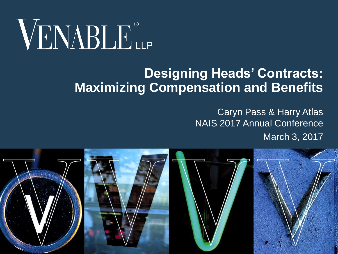# VENABLE®

#### **Designing Heads' Contracts: Maximizing Compensation and Benefits**

Caryn Pass & Harry Atlas NAIS 2017 Annual Conference March 3, 2017

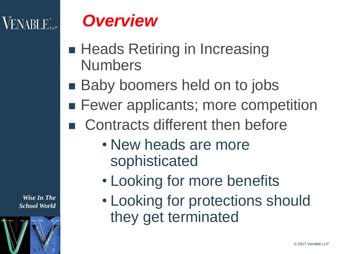#### $\rm VENABI\,E_{\rm up}^*$

## *Overview*

- **Heads Retiring in Increasing** Numbers
- Baby boomers held on to jobs
- **Fewer applicants; more competition**
- Contracts different then before
	- New heads are more sophisticated
	- Looking for more benefits
	- Looking for protections should they get terminated

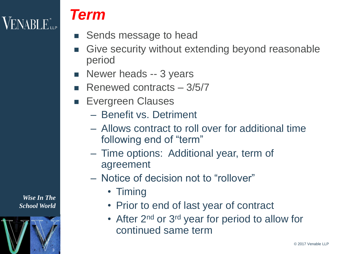## **VENABLE** LLP

#### *Term*

- Sends message to head
- Give security without extending beyond reasonable period
- **Newer heads -- 3 years**
- Renewed contracts  $-3/5/7$
- **Evergreen Clauses** 
	- Benefit vs. Detriment
	- Allows contract to roll over for additional time following end of "term"
	- Time options: Additional year, term of agreement
	- Notice of decision not to "rollover"
		- Timing
		- Prior to end of last year of contract
		- After 2<sup>nd</sup> or 3<sup>rd</sup> year for period to allow for continued same term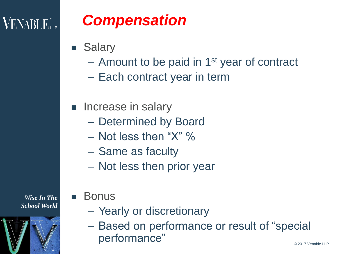## $VENABLE_{\scriptscriptstyle{\text{LLP}}}$

## *Compensation*

- Salary
	- Amount to be paid in 1<sup>st</sup> year of contract
	- Each contract year in term
- **Increase in salary** 
	- Determined by Board
	- $-$  Not less then "X" %
	- Same as faculty
	- Not less then prior year



- Bonus
	- Yearly or discretionary
	- Based on performance or result of "special performance"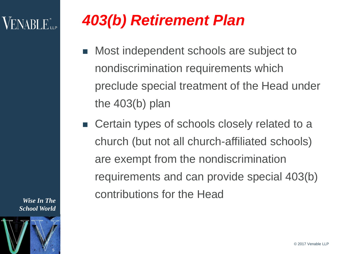## VENABLE".

- *403(b) Retirement Plan*
- Most independent schools are subject to nondiscrimination requirements which preclude special treatment of the Head under the 403(b) plan
- Certain types of schools closely related to a church (but not all church-affiliated schools) are exempt from the nondiscrimination requirements and can provide special 403(b) contributions for the Head

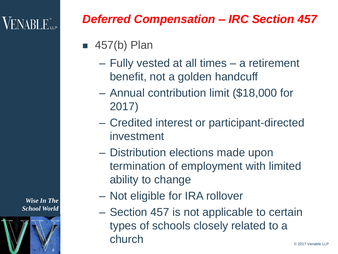## $\mathsf{VENABI}\, \mathsf{E}_{\mathsf{up}}^*$

#### *Deferred Compensation – IRC Section 457*

#### $\blacksquare$  457(b) Plan

- Fully vested at all times a retirement benefit, not a golden handcuff
- Annual contribution limit (\$18,000 for 2017)
- Credited interest or participant-directed investment
- Distribution elections made upon termination of employment with limited ability to change
- Not eligible for IRA rollover
- Section 457 is not applicable to certain types of schools closely related to a church

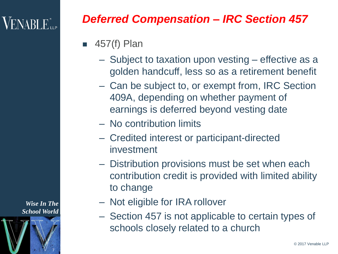## $\sf VENABI$   $E_{\sf ue}^*$

#### *Deferred Compensation – IRC Section 457*

- 457(f) Plan
	- Subject to taxation upon vesting effective as a golden handcuff, less so as a retirement benefit
	- Can be subject to, or exempt from, IRC Section 409A, depending on whether payment of earnings is deferred beyond vesting date
	- No contribution limits
	- Credited interest or participant-directed investment
	- Distribution provisions must be set when each contribution credit is provided with limited ability to change
	- Not eligible for IRA rollover
	- Section 457 is not applicable to certain types of schools closely related to a church

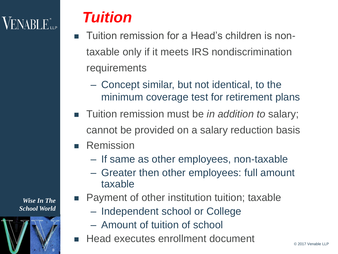## $VENABLE$

#### *Tuition*

- Tuition remission for a Head's children is nontaxable only if it meets IRS nondiscrimination **requirements** 
	- Concept similar, but not identical, to the minimum coverage test for retirement plans
- Tuition remission must be *in addition to* salary; cannot be provided on a salary reduction basis
- Remission
	- If same as other employees, non-taxable
	- Greater then other employees: full amount taxable



- **Payment of other institution tuition; taxable** 
	- Independent school or College
	- Amount of tuition of school
	- Head executes enrollment document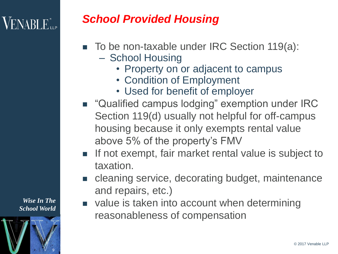## $\sf{VENABLE}^*_{\sf{LP}}$

#### *School Provided Housing*

- To be non-taxable under IRC Section 119(a):
	- School Housing
		- Property on or adjacent to campus
		- Condition of Employment
		- Used for benefit of employer
- "Qualified campus lodging" exemption under IRC Section 119(d) usually not helpful for off-campus housing because it only exempts rental value above 5% of the property's FMV
- **If not exempt, fair market rental value is subject to** taxation.
- **EX Cleaning service, decorating budget, maintenance** and repairs, etc.)
- value is taken into account when determining reasonableness of compensation

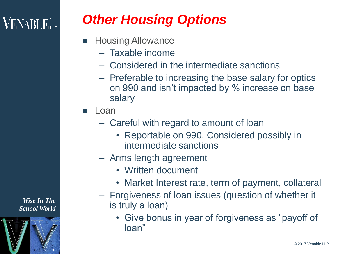## $\sf VENABLE$  ille

#### *Other Housing Options*

- Housing Allowance
	- Taxable income
	- Considered in the intermediate sanctions
	- Preferable to increasing the base salary for optics on 990 and isn't impacted by % increase on base salary
- Loan
	- Careful with regard to amount of loan
		- Reportable on 990, Considered possibly in intermediate sanctions
	- Arms length agreement
		- Written document
		- Market Interest rate, term of payment, collateral
	- Forgiveness of loan issues (question of whether it is truly a loan)
		- Give bonus in year of forgiveness as "payoff of loan"

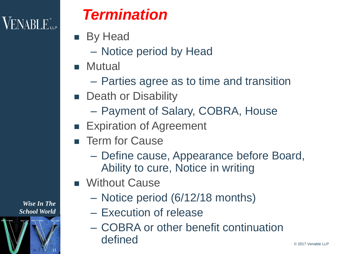

#### *Termination*

- **By Head** 
	- Notice period by Head
- **Mutual** 
	- Parties agree as to time and transition
- **Death or Disability** 
	- Payment of Salary, COBRA, House
- **Expiration of Agreement**
- **F** Term for Cause
	- Define cause, Appearance before Board, Ability to cure, Notice in writing
- **Nithout Cause** 
	- Notice period (6/12/18 months)
	- Execution of release
	- COBRA or other benefit continuation defined

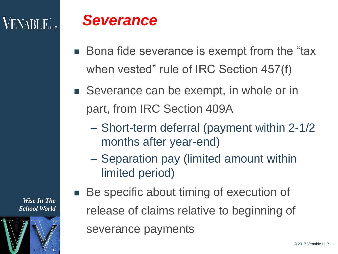## $\mathsf{VENABI}\, \mathsf{E}_{\mathsf{up}}^*$

#### *Severance*

- Bona fide severance is exempt from the "tax when vested" rule of IRC Section 457(f)
- Severance can be exempt, in whole or in part, from IRC Section 409A
	- Short-term deferral (payment within 2-1/2 months after year-end)
	- Separation pay (limited amount within limited period)
	- Be specific about timing of execution of release of claims relative to beginning of severance payments

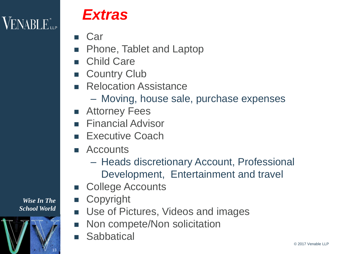$\mathsf{VENABLE}^*_{\mathsf{LP}}$ 

#### *Extras*

- Car
- Phone, Tablet and Laptop
- Child Care
- **E** Country Club
- **Relocation Assistance** 
	- Moving, house sale, purchase expenses
- Attorney Fees
- **Financial Advisor**
- **Executive Coach**
- Accounts
	- Heads discretionary Account, Professional Development, Entertainment and travel
- College Accounts
- **Copyright**
- Use of Pictures, Videos and images
- Non compete/Non solicitation
- **Sabbatical**

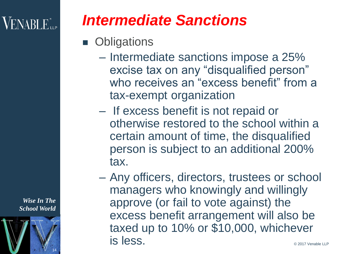#### $\mathsf{VENABI}\, \mathsf{E}_{\mathsf{up}}^*$

## *Intermediate Sanctions*

- **Obligations** 
	- Intermediate sanctions impose a 25% excise tax on any "disqualified person" who receives an "excess benefit" from a tax-exempt organization
	- If excess benefit is not repaid or otherwise restored to the school within a certain amount of time, the disqualified person is subject to an additional 200% tax.
	- Any officers, directors, trustees or school managers who knowingly and willingly approve (or fail to vote against) the excess benefit arrangement will also be taxed up to 10% or \$10,000, whichever is less.

*Wise In The School World*

14

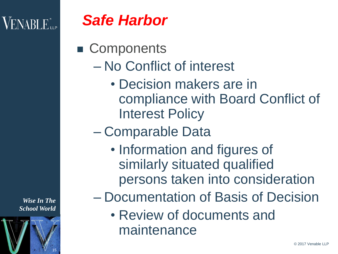## $\rm VENABI\,E_{\rm{m}}^{*}$



■ Components

- No Conflict of interest
	- Decision makers are in compliance with Board Conflict of Interest Policy
- Comparable Data
	- Information and figures of similarly situated qualified persons taken into consideration
- Documentation of Basis of Decision
	- Review of documents and maintenance

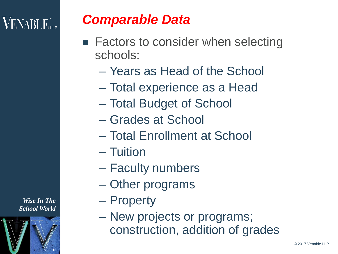## $\rm VENABLE$  ille

#### *Comparable Data*

- Factors to consider when selecting schools:
	- Years as Head of the School
	- Total experience as a Head
	- Total Budget of School
	- Grades at School
	- Total Enrollment at School
	- Tuition
	- Faculty numbers
	- Other programs
	- Property
	- New projects or programs; construction, addition of grades

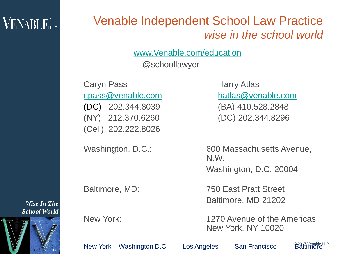#### $\mathsf{VENABLE}^*$ ile

#### Venable Independent School Law Practice *wise in the school world*

[www.Venable.com/education](http://www.venable.com/education)

@schoollawyer

Caryn Pass Harry Atlas (DC) 202.344.8039 (BA) 410.528.2848 (NY) 212.370.6260 (DC) 202.344.8296 (Cell) 202.222.8026

[cpass@venable.com](mailto:cpass@venable.com) [hatlas@venable.com](mailto:hatlas@venable.com)

Washington, D.C.: 600 Massachusetts Avenue, N.W. Washington, D.C. 20004

Baltimore, MD: 750 East Pratt Street Baltimore, MD 21202

New York: 1270 Avenue of the Americas New York, NY 10020

New York Washington D.C. Los Angeles San Francisco

**Baltimore** LLP

*Wise In The School World*

17